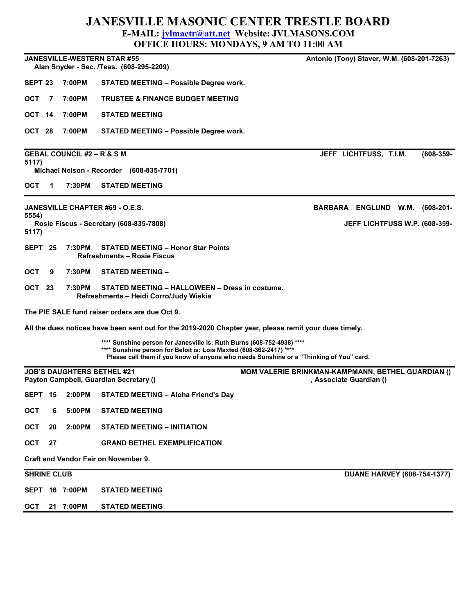## JANESVILLE MASONIC CENTER TRESTLE BOARD E-MAIL: jvlmactr@att.net Website: JVLMASONS.COM

| <b>OFFICE HOURS: MONDAYS, 9 AM TO 11:00 AM</b>                                                                               |                |                                                                                                                                                                                                                                         |                                                   |
|------------------------------------------------------------------------------------------------------------------------------|----------------|-----------------------------------------------------------------------------------------------------------------------------------------------------------------------------------------------------------------------------------------|---------------------------------------------------|
| <b>JANESVILLE-WESTERN STAR #55</b><br>Antonio (Tony) Staver, W.M. (608-201-7263)<br>Alan Snyder - Sec. /Teas. (608-295-2209) |                |                                                                                                                                                                                                                                         |                                                   |
| SEPT <sub>23</sub>                                                                                                           | 7:00PM         | <b>STATED MEETING - Possible Degree work.</b>                                                                                                                                                                                           |                                                   |
| ОСТ<br>7                                                                                                                     | 7:00PM         | <b>TRUSTEE &amp; FINANCE BUDGET MEETING</b>                                                                                                                                                                                             |                                                   |
| OCT 14                                                                                                                       | 7:00PM         | <b>STATED MEETING</b>                                                                                                                                                                                                                   |                                                   |
| OCT 28                                                                                                                       | 7:00PM         | <b>STATED MEETING - Possible Degree work.</b>                                                                                                                                                                                           |                                                   |
| <b>GEBAL COUNCIL #2 – R &amp; S M</b><br>$(608 - 359 -$<br>JEFF LICHTFUSS, T.I.M.                                            |                |                                                                                                                                                                                                                                         |                                                   |
| 5117)<br>Michael Nelson - Recorder (608-835-7701)                                                                            |                |                                                                                                                                                                                                                                         |                                                   |
| ОСТ<br>1                                                                                                                     | 7:30PM         | <b>STATED MEETING</b>                                                                                                                                                                                                                   |                                                   |
| JANESVILLE CHAPTER #69 - O.E.S.<br>BARBARA ENGLUND W.M.<br>5554)                                                             |                |                                                                                                                                                                                                                                         | (608-201-                                         |
| 5117)                                                                                                                        |                | Rosie Fiscus - Secretary (608-835-7808)                                                                                                                                                                                                 | JEFF LICHTFUSS W.P. (608-359-                     |
| SEPT 25                                                                                                                      | 7:30PM         | <b>STATED MEETING - Honor Star Points</b><br><b>Refreshments - Rosie Fiscus</b>                                                                                                                                                         |                                                   |
| ОСТ<br>9                                                                                                                     | 7:30PM         | <b>STATED MEETING -</b>                                                                                                                                                                                                                 |                                                   |
| OCT 23                                                                                                                       | 7:30PM         | STATED MEETING - HALLOWEEN - Dress in costume.<br>Refreshments - Heidi Corro/Judy Wiskia                                                                                                                                                |                                                   |
| The PIE SALE fund raiser orders are due Oct 9.                                                                               |                |                                                                                                                                                                                                                                         |                                                   |
| All the dues notices have been sent out for the 2019-2020 Chapter year, please remit your dues timely.                       |                |                                                                                                                                                                                                                                         |                                                   |
|                                                                                                                              |                | **** Sunshine person for Janesville is: Ruth Burns (608-752-4938) ****<br>**** Sunshine person for Beloit is: Lois Maxted (608-362-2417) ****<br>Please call them if you know of anyone who needs Sunshine or a "Thinking of You" card. |                                                   |
| <b>JOB'S DAUGHTERS BETHEL #21</b><br>Payton Campbell, Guardian Secretary ()                                                  |                |                                                                                                                                                                                                                                         | MOM VALERIE BRINKMAN-KAMPMANN, BETHEL GUARDIAN () |
| SEPT 15                                                                                                                      | 2:00PM         | <b>STATED MEETING - Aloha Friend's Day</b>                                                                                                                                                                                              | , Associate Guardian ()                           |
| <b>OCT</b>                                                                                                                   | 5:00PM         | <b>STATED MEETING</b>                                                                                                                                                                                                                   |                                                   |
| <b>OCT</b><br>20                                                                                                             | 6<br>2:00PM    | <b>STATED MEETING - INITIATION</b>                                                                                                                                                                                                      |                                                   |
| OCT<br>27                                                                                                                    |                | <b>GRAND BETHEL EXEMPLIFICATION</b>                                                                                                                                                                                                     |                                                   |
| <b>Craft and Vendor Fair on November 9.</b>                                                                                  |                |                                                                                                                                                                                                                                         |                                                   |
| <b>SHRINE CLUB</b>                                                                                                           |                |                                                                                                                                                                                                                                         |                                                   |
|                                                                                                                              |                |                                                                                                                                                                                                                                         | <b>DUANE HARVEY (608-754-1377)</b>                |
|                                                                                                                              | SEPT 16 7:00PM | <b>STATED MEETING</b>                                                                                                                                                                                                                   |                                                   |
| <b>OCT</b>                                                                                                                   | 21 7:00PM      | <b>STATED MEETING</b>                                                                                                                                                                                                                   |                                                   |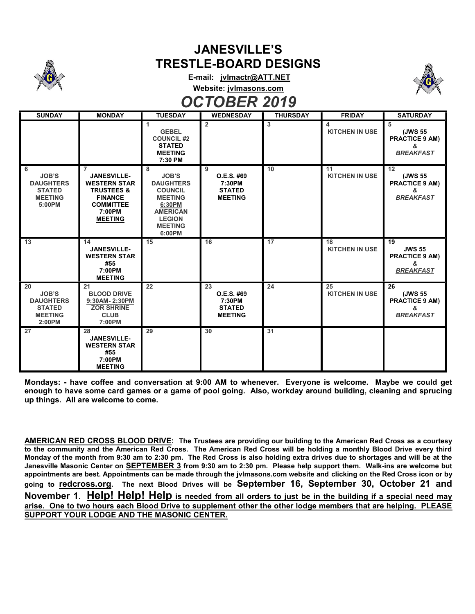

## JANESVILLE'S TRESTLE-BOARD DESIGNS

E-mail: jvlmactr@ATT.NET Website: jvlmasons.com

OCTOBER 2019



## SUNDAY | MONDAY | TUESDAY | WEDNESDAY | THURSDAY | FRIDAY | SATURDAY 1 **GEBEL** COUNCIL #2 **STATED** MEETING 7:30 PM 2 3 4 KITCHEN IN USE 5 (JWS 55 PRACTICE 9 AM) & **BREAKFAST** 6 JOB'S DAUGHTERS **STATED** MEETING 5:00PM 7 JANESVILLE-WESTERN STAR TRUSTEES & FINANCE **COMMITTEE** 7:00PM MEETING 8 JOB'S DAUGHTERS **COUNCIL** MEETING 6:30PM AMERICAN LEGION MEETING 6:00PM 9 O.E.S. #69 7:30PM **STATED** MEETING 10 11 KITCHEN IN USE 12 (JWS 55 PRACTICE 9 AM) & **BREAKFAST** 13 14 JANESVILLE-WESTERN STAR #55 7:00PM MEETING 15 16 17 18 KITCHEN IN USE 19 JWS 55 PRACTICE 9 AM) & **BREAKFAST** 20 JOB'S DAUGHTERS STATED MEETING 2:00PM 21 BLOOD DRIVE 9:30AM- 2:30PM ZOR SHRINE CLUB 7:00PM 22 23 O.E.S. #69 7:30PM STATED MEETING 24 25 KITCHEN IN USE 26 (JWS 55 PRACTICE 9 AM) & **BREAKFAST** 27 28 JANESVILLE-WESTERN STAR #55 7:00PM MEETING 29 30 31

Mondays: - have coffee and conversation at 9:00 AM to whenever. Everyone is welcome. Maybe we could get enough to have some card games or a game of pool going. Also, workday around building, cleaning and sprucing up things. All are welcome to come.

AMERICAN RED CROSS BLOOD DRIVE: The Trustees are providing our building to the American Red Cross as a courtesy to the community and the American Red Cross. The American Red Cross will be holding a monthly Blood Drive every third Monday of the month from 9:30 am to 2:30 pm. The Red Cross is also holding extra drives due to shortages and will be at the Janesville Masonic Center on SEPTEMBER 3 from 9:30 am to 2:30 pm. Please help support them. Walk-ins are welcome but appointments are best. Appointments can be made through the jvlmasons.com website and clicking on the Red Cross icon or by going to redcross.org. The next Blood Drives will be September 16, September 30, October 21 and November 1. Help! Help! Help is needed from all orders to just be in the building if a special need may arise. One to two hours each Blood Drive to supplement other the other lodge members that are helping. PLEASE SUPPORT YOUR LODGE AND THE MASONIC CENTER.